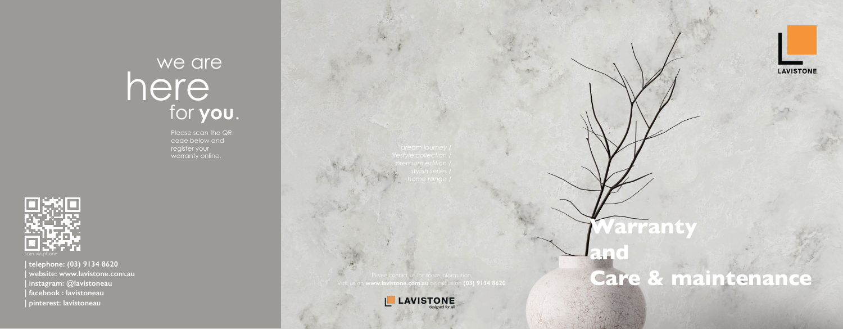



Please contact us for more information. Visit us on **www.lavistone.com.au** or call us on **(03) 9134 8620**





# here for **you**. we are

**| telephone: (03) 9134 8620 | website: www.lavistone.com.au | instagram: @lavistoneau | facebook : lavistoneau | pinterest: lavistoneau**

Please scan the QR code below and register your warranty online.